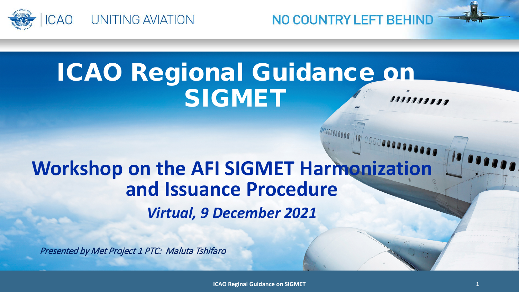

ICAO Regional Guidance on SIGMET 1111111111

NO COUNTRY LEFT BEHIND

## **Workshop on the AFI SIGMET Harmonization and Issuance Procedure**  *Virtual, 9 December 2021*

Presented by Met Project 1 PTC: Maluta Tshifaro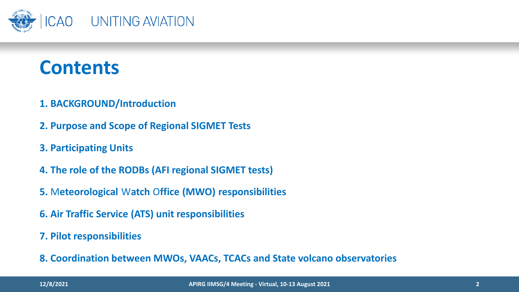

## **Contents**

- **1. BACKGROUND/Introduction**
- **2. Purpose and Scope of Regional SIGMET Tests**
- **3. Participating Units**
- **4. The role of the RODBs (AFI regional SIGMET tests)**
- **5.** M**eteorological** W**atch** O**ffice (MWO) responsibilities**
- **6. Air Traffic Service (ATS) unit responsibilities**
- **7. Pilot responsibilities**
- **8. Coordination between MWOs, VAACs, TCACs and State volcano observatories**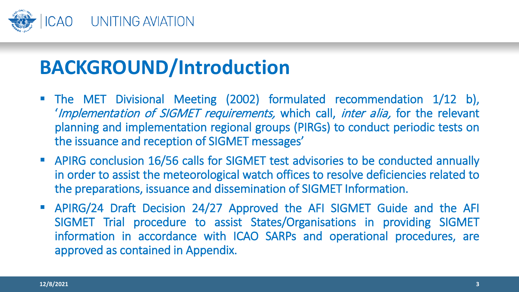

# **BACKGROUND/Introduction**

- The MET Divisional Meeting (2002) formulated recommendation 1/12 b), 'Implementation of SIGMET requirements, which call, inter alia, for the relevant planning and implementation regional groups (PIRGs) to conduct periodic tests on the issuance and reception of SIGMET messages'
- APIRG conclusion 16/56 calls for SIGMET test advisories to be conducted annually in order to assist the meteorological watch offices to resolve deficiencies related to the preparations, issuance and dissemination of SIGMET Information.
- APIRG/24 Draft Decision 24/27 Approved the AFI SIGMET Guide and the AFI SIGMET Trial procedure to assist States/Organisations in providing SIGMET information in accordance with ICAO SARPs and operational procedures, are approved as contained in Appendix.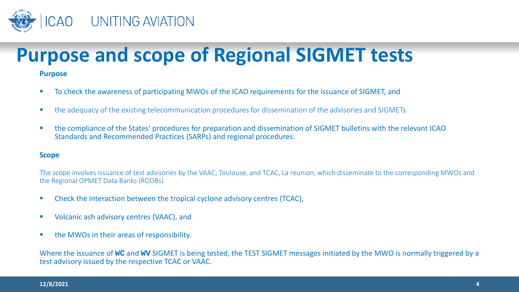

# **Purpose and scope of Regional SIGMET tests**

#### **Purpose**

- To check the awareness of participating MWOs of the ICAO requirements for the issuance of SIGMET, and
- **the adequacy of the existing telecommunication procedures for dissemination of the advisories and SIGMETs**
- the compliance of the States' procedures for preparation and dissemination of SIGMET bulletins with the relevant ICAO Standards and Recommended Practices (SARPs) and regional procedures.

#### **Scope**

The scope involves issuance of test advisories by the VAAC, Toulouse, and TCAC, La reunion, which disseminate to the corresponding MWOs and the Regional OPMET Data Banks (RODBs)

- Check the interaction between the tropical cyclone advisory centres (TCAC),
- Volcanic ash advisory centres (VAAC), and
- **the MWOs in their areas of responsibility.**

Where the issuance of **WC** and **WV** SIGMET is being tested, the TEST SIGMET messages initiated by the MWO is normally triggered by a test advisory issued by the respective TCAC or VAAC.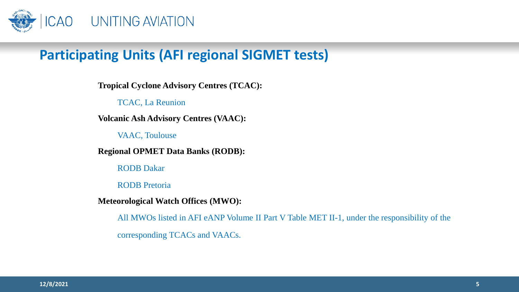

### **Participating Units (AFI regional SIGMET tests)**

**Tropical Cyclone Advisory Centres (TCAC):**

TCAC, La Reunion

**Volcanic Ash Advisory Centres (VAAC):**

VAAC, Toulouse

**Regional OPMET Data Banks (RODB):**

RODB Dakar

RODB Pretoria

**Meteorological Watch Offices (MWO):**

All MWOs listed in AFI eANP Volume II Part V Table MET II-1, under the responsibility of the corresponding TCACs and VAACs.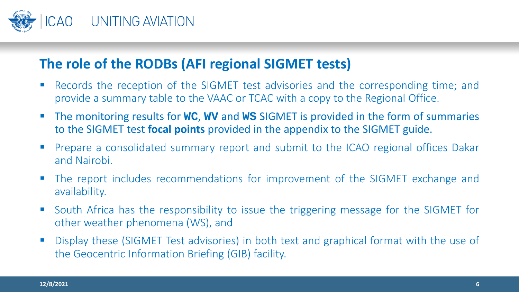

#### **The role of the RODBs (AFI regional SIGMET tests)**

- **Records the reception of the SIGMET test advisories and the corresponding time; and** provide a summary table to the VAAC or TCAC with a copy to the Regional Office.
- The monitoring results for **WC**, **WV** and **WS** SIGMET is provided in the form of summaries to the SIGMET test **focal points** provided in the appendix to the SIGMET guide.
- **Prepare a consolidated summary report and submit to the ICAO regional offices Dakar** and Nairobi.
- The report includes recommendations for improvement of the SIGMET exchange and availability.
- **South Africa has the responsibility to issue the triggering message for the SIGMET for** other weather phenomena (WS), and
- **Display these (SIGMET Test advisories) in both text and graphical format with the use of** the Geocentric Information Briefing (GIB) facility.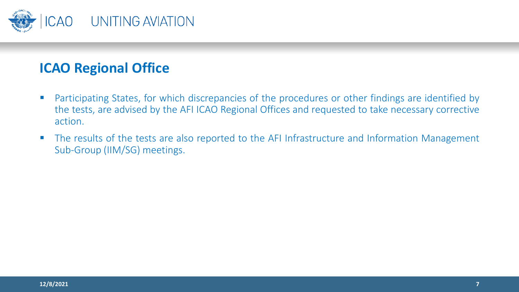

#### **ICAO Regional Office**

- **Participating States, for which discrepancies of the procedures or other findings are identified by** the tests, are advised by the AFI ICAO Regional Offices and requested to take necessary corrective action.
- The results of the tests are also reported to the AFI Infrastructure and Information Management Sub-Group (IIM/SG) meetings.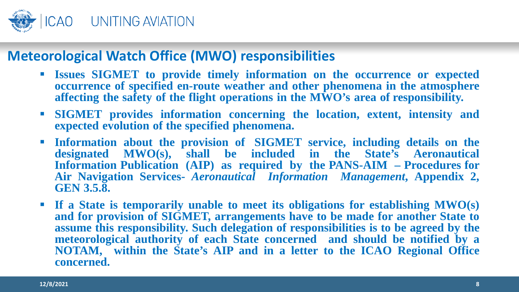

#### **Meteorological Watch Office (MWO) responsibilities**

- **Issues SIGMET to provide timely information on the occurrence or expected occurrence of specified en-route weather and other phenomena in the atmosphere affecting the safety of the flight operations in the MWO's area of responsibility.**
- **SIGMET provides information concerning the location, extent, intensity and expected evolution of the specified phenomena.**
- **Information about the provision of SIGMET service, including details on the designated MWO(s), shall be included in the State's Aeronautical Information Publication (AIP) as required by the PANS-AIM – Procedures for Air Navigation Services-** *Aeronautical Information Management***, Appendix 2, GEN 3.5.8.**
- **If a State is temporarily unable to meet its obligations for establishing MWO(s) and for provision of SIGMET, arrangements have to be made for another State to assume this responsibility. Such delegation of responsibilities is to be agreed by the meteorological authority of each State concerned and should be notified by a NOTAM, within the State's AIP and in a letter to the ICAO Regional Office concerned.**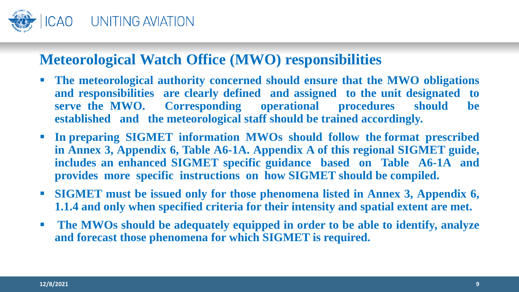

### **Meteorological Watch Office (MWO) responsibilities**

- **The meteorological authority concerned should ensure that the MWO obligations and responsibilities are clearly defined and assigned to the unit designated to serve the MWO. Corresponding operational procedures should be established and the meteorological staff should be trained accordingly.**
- **In preparing SIGMET information MWOs should follow the format prescribed in Annex 3, Appendix 6, Table A6-1A. Appendix A of this regional SIGMET guide, includes an enhanced SIGMET specific guidance based on Table A6-1A and provides more specific instructions on how SIGMET should be compiled.**
- **SIGMET must be issued only for those phenomena listed in Annex 3, Appendix 6, 1.1.4 and only when specified criteria for their intensity and spatial extent are met.**
- **The MWOs should be adequately equipped in order to be able to identify, analyze and forecast those phenomena for which SIGMET is required.**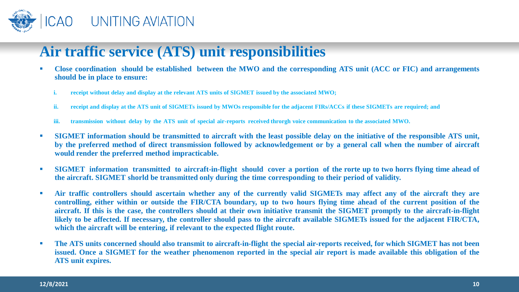

### **Air traffic service (ATS) unit responsibilities**

- Close coordination should be established between the MWO and the corresponding ATS unit (ACC or FIC) and arrangements **should be in place to ensure:**
	- *i.* receipt without delay and display at the relevant ATS units of SIGMET issued by the associated MWO;
	- ii. receipt and display at the ATS unit of SIGMETs issued by MWOs responsible for the adjacent FIRs/ACCs if these SIGMETs are required; and
	- iii. transmission without delay by the ATS unit of special air-reports received throrgh voice communication to the associated MWO.
- SIGMET information should be transmitted to aircraft with the least possible delay on the initiative of the responsible ATS unit, by the preferred method of direct transmission followed by acknowledgement or by a general call when the number of aircraft **would render the preferred method impracticable.**
- SIGMET information transmitted to aircraft-in-flight should cover a portion of the rorte up to two horrs flying time ahead of **the aircraft. SIGMET shorld be transmitted only during the time corresponding to their period of validity.**
- Air traffic controllers should ascertain whether any of the currently valid SIGMETs may affect any of the aircraft they are controlling, either within or outside the FIR/CTA boundary, up to two hours flying time ahead of the current position of the aircraft. If this is the case, the controllers should at their own initiative transmit the SIGMET promptly to the aircraft-in-flight likely to be affected. If necessary, the controller should pass to the aircraft available SIGMETs issued for the adjacent FIR/CTA, **which the aircraft will be entering, if relevant to the expected flight route.**
- The ATS units concerned should also transmit to aircraft-in-flight the special air-reports received, for which SIGMET has not been issued. Once a SIGMET for the weather phenomenon reported in the special air report is made available this obligation of the **ATS unit expires.**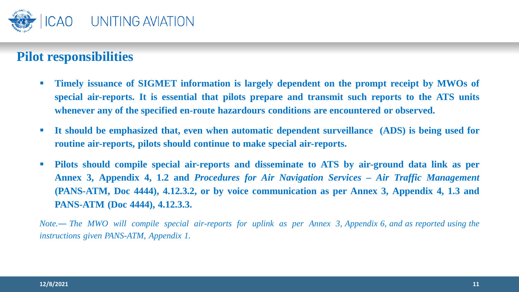

#### **Pilot responsibilities**

- **Timely issuance of SIGMET information is largely dependent on the prompt receipt by MWOs of special air-reports. It is essential that pilots prepare and transmit such reports to the ATS units whenever any of the specified en-route hazardours conditions are encountered or observed.**
- **It should be emphasized that, even when automatic dependent surveillance (ADS) is being used for routine air-reports, pilots should continue to make special air-reports.**
- **Pilots should compile special air-reports and disseminate to ATS by air-ground data link as per Annex 3, Appendix 4, 1.2 and** *Procedures for Air Navigation Services – Air Traffic Management* **(PANS-ATM, Doc 4444), 4.12.3.2, or by voice communication as per Annex 3, Appendix 4, 1.3 and PANS-ATM (Doc 4444), 4.12.3.3.**

Note.— The MWO will compile special air-reports for uplink as per Annex 3, Appendix 6, and as reported using the *instructions given PANS-ATM, Appendix 1.*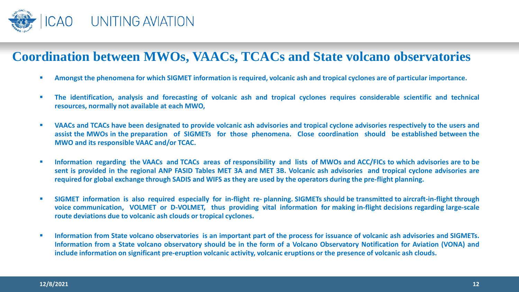

#### **Coordination between MWOs, VAACs, TCACs and State volcano observatories**

- Amongst the phenomena for which SIGMET information is required, volcanic ash and tropical cyclones are of particular importance.
- " The identification, analysis and forecasting of volcanic ash and tropical cyclones requires considerable scientific and technical **resources, normally not available at each MWO,**
- VAACs and TCACs have been designated to provide volcanic ash advisories and tropical cyclone advisories respectively to the users and assist the MWOs in the preparation of SIGMETs for those phenomena. Close coordination should be established between the **MWO and its responsible VAAC and/or TCAC.**
- " Information regarding the VAACs and TCACs areas of responsibility and lists of MWOs and ACC/FICs to which advisories are to be sent is provided in the regional ANP FASID Tables MET 3A and MET 3B. Volcanic ash advisories and tropical cyclone advisories are required for global exchange through SADIS and WIFS as they are used by the operators during the pre-flight planning.
- SIGMET information is also required especially for in-flight re-planning. SIGMETs should be transmitted to aircraft-in-flight through voice communication, VOLMET or D-VOLMET, thus providing vital information for making in-flight decisions regarding large-scale **route deviations due to volcanic ash clouds or tropical cyclones.**
- " Information from State volcano observatories is an important part of the process for issuance of volcanic ash advisories and SIGMETs. Information from a State volcano observatory should be in the form of a Volcano Observatory Notification for Aviation (VONA) and include information on significant pre-eruption volcanic activity, volcanic eruptions or the presence of volcanic ash clouds.